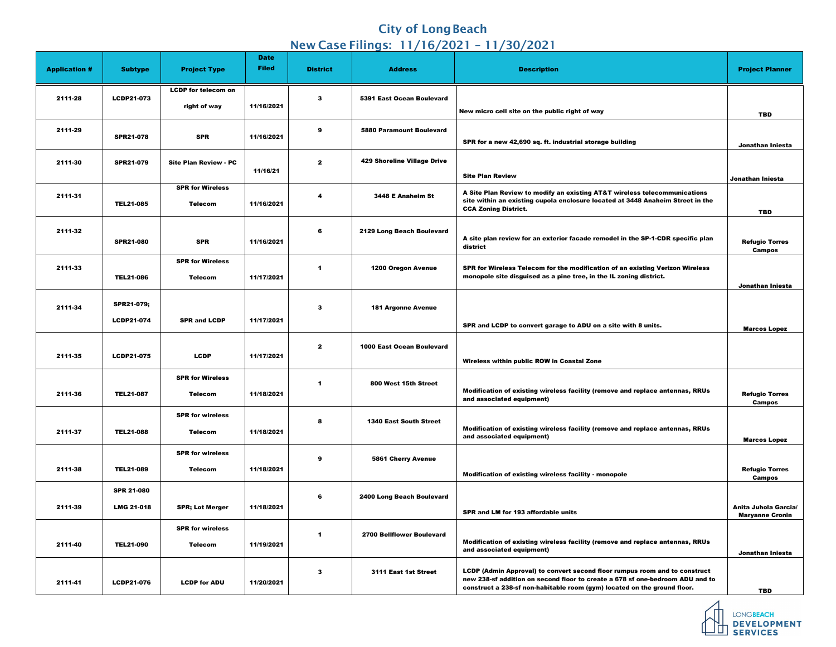## **City of Long Beach** New Case Filings: 11/16/2021 – 11/30/2021

|                      |                   |                              | <b>Date</b>  |                         |                                     |                                                                                                                                                             |                                        |
|----------------------|-------------------|------------------------------|--------------|-------------------------|-------------------------------------|-------------------------------------------------------------------------------------------------------------------------------------------------------------|----------------------------------------|
| <b>Application #</b> | <b>Subtype</b>    | <b>Project Type</b>          | <b>Filed</b> | <b>District</b>         | <b>Address</b>                      | <b>Description</b>                                                                                                                                          | <b>Project Planner</b>                 |
|                      |                   | <b>LCDP for telecom on</b>   |              |                         |                                     |                                                                                                                                                             |                                        |
| 2111-28              | <b>LCDP21-073</b> | right of way                 | 11/16/2021   | $\boldsymbol{3}$        | 5391 East Ocean Boulevard           |                                                                                                                                                             |                                        |
|                      |                   |                              |              |                         |                                     | New micro cell site on the public right of way                                                                                                              | <b>TBD</b>                             |
| 2111-29              |                   |                              |              | 9                       | <b>5880 Paramount Boulevard</b>     |                                                                                                                                                             |                                        |
|                      | <b>SPR21-078</b>  | <b>SPR</b>                   | 11/16/2021   |                         |                                     | SPR for a new 42,690 sq. ft. industrial storage building                                                                                                    |                                        |
|                      |                   |                              |              |                         |                                     |                                                                                                                                                             | Jonathan Iniesta                       |
| 2111-30              | <b>SPR21-079</b>  | <b>Site Plan Review - PC</b> |              | $\overline{2}$          | <b>429 Shoreline Village Drive</b>  |                                                                                                                                                             |                                        |
|                      |                   |                              | 11/16/21     |                         |                                     | <b>Site Plan Review</b>                                                                                                                                     | Jonathan Iniesta                       |
|                      |                   | <b>SPR for Wireless</b>      |              |                         |                                     |                                                                                                                                                             |                                        |
| 2111-31              |                   |                              |              | -4                      | 3448 E Anaheim St                   | A Site Plan Review to modify an existing AT&T wireless telecommunications<br>site within an existing cupola enclosure located at 3448 Anaheim Street in the |                                        |
|                      | <b>TEL21-085</b>  | <b>Telecom</b>               | 11/16/2021   |                         |                                     | <b>CCA Zoning District.</b>                                                                                                                                 | <b>TBD</b>                             |
|                      |                   |                              |              |                         |                                     |                                                                                                                                                             |                                        |
| 2111-32              |                   |                              |              | 6                       | 2129 Long Beach Boulevard           | A site plan review for an exterior facade remodel in the SP-1-CDR specific plan                                                                             |                                        |
|                      | <b>SPR21-080</b>  | <b>SPR</b>                   | 11/16/2021   |                         |                                     | district                                                                                                                                                    | <b>Refugio Torres</b><br><b>Campos</b> |
|                      |                   | <b>SPR for Wireless</b>      |              |                         |                                     |                                                                                                                                                             |                                        |
| 2111-33              |                   |                              |              | $\blacktriangleleft$    | <b>1200 Oregon Avenue</b>           | SPR for Wireless Telecom for the modification of an existing Verizon Wireless                                                                               |                                        |
|                      | <b>TEL21-086</b>  | <b>Telecom</b>               | 11/17/2021   |                         |                                     | monopole site disguised as a pine tree, in the IL zoning district.                                                                                          | Jonathan Iniesta                       |
|                      |                   |                              |              |                         |                                     |                                                                                                                                                             |                                        |
| 2111-34              | <b>SPR21-079;</b> |                              |              | $\boldsymbol{3}$        | <b>181 Argonne Avenue</b>           |                                                                                                                                                             |                                        |
|                      | <b>LCDP21-074</b> | <b>SPR and LCDP</b>          | 11/17/2021   |                         |                                     |                                                                                                                                                             |                                        |
|                      |                   |                              |              |                         |                                     | SPR and LCDP to convert garage to ADU on a site with 8 units.                                                                                               | <b>Marcos Lopez</b>                    |
|                      |                   |                              |              | $\overline{2}$          | <b>1000 East Ocean Boulevard</b>    |                                                                                                                                                             |                                        |
| 2111-35              | <b>LCDP21-075</b> | <b>LCDP</b>                  | 11/17/2021   |                         |                                     |                                                                                                                                                             |                                        |
|                      |                   |                              |              |                         |                                     | Wireless within public ROW in Coastal Zone                                                                                                                  |                                        |
|                      |                   | <b>SPR for Wireless</b>      |              | $\overline{\mathbf{1}}$ | 800 West 15th Street                |                                                                                                                                                             |                                        |
| 2111-36              | <b>TEL21-087</b>  | <b>Telecom</b>               | 11/18/2021   |                         |                                     | Modification of existing wireless facility (remove and replace antennas, RRUs                                                                               | <b>Refugio Torres</b>                  |
|                      |                   |                              |              |                         |                                     | and associated equipment)                                                                                                                                   | <b>Campos</b>                          |
|                      |                   | <b>SPR for wireless</b>      |              | 8                       | <b>1340 East South Street</b>       |                                                                                                                                                             |                                        |
| 2111-37              | <b>TEL21-088</b>  | <b>Telecom</b>               | 11/18/2021   |                         |                                     | Modification of existing wireless facility (remove and replace antennas, RRUs                                                                               |                                        |
|                      |                   |                              |              |                         |                                     | and associated equipment)                                                                                                                                   | <b>Marcos Lopez</b>                    |
|                      |                   | <b>SPR for wireless</b>      |              | 9                       |                                     |                                                                                                                                                             |                                        |
| 2111-38              | <b>TEL21-089</b>  | <b>Telecom</b>               | 11/18/2021   |                         | <b>5861 Cherry Avenue</b>           |                                                                                                                                                             | <b>Refugio Torres</b>                  |
|                      |                   |                              |              |                         |                                     | <b>Modification of existing wireless facility - monopole</b>                                                                                                | <b>Campos</b>                          |
|                      | <b>SPR 21-080</b> |                              |              |                         |                                     |                                                                                                                                                             |                                        |
| 2111-39              | <b>LMG 21-018</b> | <b>SPR; Lot Merger</b>       | 11/18/2021   | 6                       | <b>2400 Long Beach Boulevard</b>    |                                                                                                                                                             | Anita Juhola Garcia/                   |
|                      |                   |                              |              |                         | SPR and LM for 193 affordable units | <b>Maryanne Cronin</b>                                                                                                                                      |                                        |
|                      |                   | <b>SPR for wireless</b>      |              |                         |                                     |                                                                                                                                                             |                                        |
|                      |                   |                              |              | $\blacktriangleleft$    | <b>2700 Bellflower Boulevard</b>    | Modification of existing wireless facility (remove and replace antennas, RRUs                                                                               |                                        |
| 2111-40              | <b>TEL21-090</b>  | <b>Telecom</b>               | 11/19/2021   |                         |                                     | and associated equipment)                                                                                                                                   | Jonathan Iniesta                       |
|                      |                   |                              |              |                         |                                     |                                                                                                                                                             |                                        |
|                      |                   |                              |              | $\mathbf{3}$            | 3111 East 1st Street                | LCDP (Admin Approval) to convert second floor rumpus room and to construct<br>new 238-sf addition on second floor to create a 678 sf one-bedroom ADU and to |                                        |
| 2111-41              | <b>LCDP21-076</b> | <b>LCDP for ADU</b>          | 11/20/2021   |                         |                                     | construct a 238-sf non-habitable room (gym) located on the ground floor.                                                                                    | <b>TBD</b>                             |